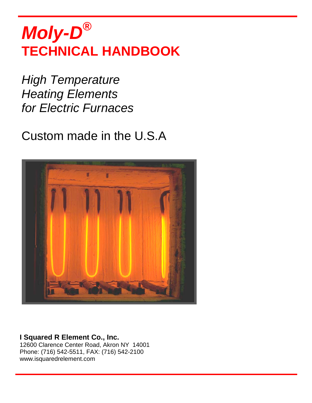# *Moly-D®* **TECHNICAL HANDBOOK**

*High Temperature Heating Elements for Electric Furnaces*

## Custom made in the U.S.A



## **I Squared R Element Co., Inc.**

12600 Clarence Center Road, Akron NY 14001 Phone: (716) 542-5511, FAX: (716) 542-2100 www.isquaredrelement.com



**Silicon Carbide Heating Elements** 





92 à 96 rue Paul Lescop F 92000 Nanterre - France Tél. 33 (0)1 47 21 13 17 Fax. 33 (0)1 47 24 54 92 contact@refsas.com **WWW.REFSAS.COM** 

S.A. au capital de 545 000€ **afaQ** S.A. au capital de 545 000€<br> **ISO 9001** RCS Nanterre B 679 800 615<br>
SIRET : 679 800 615 00040 NAF: 2320Z

ARCHITECTE DU CHAUD SUR MESURE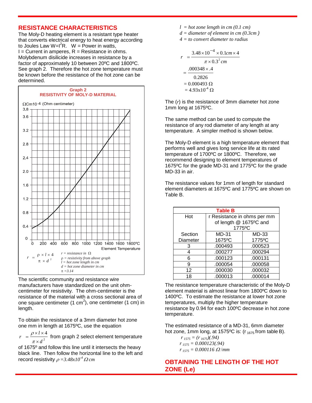### **RESISTANCE CHARACTERISTICS**

The Moly-D heating element is a resistant type heater that converts electrical energy to heat energy according to Joules Law W= $I^2R$ . W = Power in watts,  $I =$  Current in amperes,  $R =$  Resistance in ohms. Molybdenum disilicide increases in resistance by a factor of approximately 10 between 20ºC and 1800ºC. See graph 2. Therefore the hot zone temperature must be known before the resistance of the hot zone can be determined.



The scientific community and resistance wire manufacturers have standardized on the unit ohmcentimeter for resistivity. The ohm-centimeter is the resistance of the material with a cross sectional area of one square centimeter (1 cm<sup>2</sup>), one centimeter (1 cm) in length.

To obtain the resistance of a 3mm diameter hot zone one mm in length at 1675ºC, use the equation

2 4  $r = \frac{\rho \times l \times 4}{\pi \times d^2}$  from graph 2 select element temperature

of 1675º and follow this line until it intersects the heavy black line. Then follow the horizontal line to the left and record resistivity  $\rho = 3.48x10^{-4} \Omega$  *cm* 

- *l = hot zone length in cm (0.1 cm)*
- *d = diameter of element in cm (0.3cm )*

*4 = to convert diameter to radius*

$$
r = \frac{3.48 \times 10^{-4} \times 0.1 cm \times 4}{\pi \times 0.3^{2} cm}
$$
  
= 
$$
\frac{.000348 \times .4}{0.2826}
$$
  
= 0.000493 Ω  
= 4.93x10<sup>-4</sup> Ω

The (*r*) is the resistance of 3mm diameter hot zone 1mm long at 1675ºC.

The same method can be used to compute the resistance of any rod diameter of any length at any temperature. A simpler method is shown below.

The Moly-D element is a high temperature element that performs well and gives long service life at its rated temperature of 1700ºC or 1800ºC. Therefore, we recommend designing to element temperatures of 1675ºC for the grade MD-31 and 1775ºC for the grade MD-33 in air.

The resistance values for 1mm of length for standard element diameters at 1675ºC and 1775ºC are shown on Table B.

| <b>Table B</b> |                             |         |  |  |
|----------------|-----------------------------|---------|--|--|
| Hot            | r Resistance in ohms per mm |         |  |  |
|                | of length @ 1675°C and      |         |  |  |
|                | 1775°C                      |         |  |  |
| Section        | <b>MD-31</b>                | MD-33   |  |  |
| Diameter       | 1675°C                      | 1775°C  |  |  |
| 3              | .000493                     | .000523 |  |  |
| 4              | .000277                     | .000294 |  |  |
| 6              | .000123                     | .000131 |  |  |
| 9              | .000054                     | .000058 |  |  |
| 12             | .000030                     | .000032 |  |  |
| 18             | .000013                     | .000014 |  |  |

The resistance temperature characteristic of the Moly-D element material is almost linear from 1800ºC down to 1400ºC. To estimate the resistance at lower hot zone temperatures, multiply the higher temperature resistance by 0.94 for each 100ºC decrease in hot zone temperature.

The estimated resistance of a MD-31, 6mm diameter hot zone, 1mm long, at 1575 $^{\circ}$ C is: (r<sub>1675</sub> from table B).

> *r 1575 = (r 1675)(.94) r 1575 = 0.000123(.94) r 1575 = 0.000116* Ω /*mm*

## **OBTAINING THE LENGTH OF THE HOT ZONE (Le)**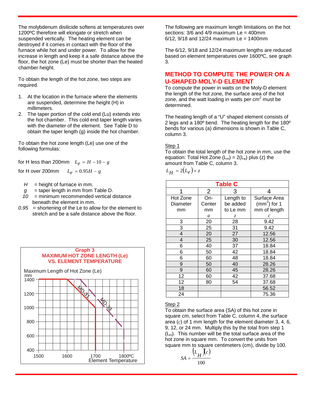The molybdenum disilicide softens at temperatures over 1200ºC therefore will elongate or stretch when suspended vertically. The heating element can be destroyed if it comes in contact with the floor of the furnace while hot and under power. To allow for the increase in length and keep it a safe distance above the floor, the hot zone (Le) must be shorter than the heated chamber height.

To obtain the length of the hot zone, two steps are required.

- 1. At the location in the furnace where the elements are suspended, determine the height (H) in millimeters.
- 2. The taper portion of the cold end (Lu) extends into the hot chamber. This cold end taper length varies with the diameter of the element. See Table D to obtain the taper length (g) inside the hot chamber.

To obtain the hot zone length (Le) use one of the following formulas:

for H less than 200mm  $L_e = H - 10 - g$ 

for H over 200mm  $L_e = 0.95H - g$ 

- $H =$  height of furnace in mm.
- $g =$  taper length in mm from Table D.
- *10* = minimum recommended vertical distance beneath the element in mm.
- *0.95* = shortening of the Le to allow for the element to stretch and be a safe distance above the floor.



The following are maximum length limitations on the hot sections:  $3/6$  and  $4/9$  maximum Le =  $400$ mm  $6/12$ ,  $9/18$  and  $12/24$  maximum Le = 1400mm

The 6/12, 9/18 and 12/24 maximum lengths are reduced based on element temperatures over 1600ºC, see graph 3.

## **METHOD TO COMPUTE THE POWER ON A U-SHAPED MOLY-D ELEMENT**

To compute the power in watts on the Moly-D element the length of the hot zone, the surface area of the hot zone, and the watt loading in watts per  $cm<sup>2</sup>$  must be determined.

The heating length of a "U" shaped element consists of 2 legs and a 180º bend. The heating length for the 180º bends for various (a) dimensions is shown in Table C, column 3.

#### Step 1

To obtain the total length of the hot zone in mm, use the equation: Total Hot Zone  $(L_H) = 2(L_e)$  plus (z) the amount from Table C, column 3.

$$
L_H = 2(L_e) + z
$$

| <b>Table C</b> |                |           |                    |  |  |
|----------------|----------------|-----------|--------------------|--|--|
| 1              | $\overline{2}$ | 3         | 4                  |  |  |
| Hot Zone       | On-            | Length to | Surface Area       |  |  |
| Diameter       | Center         | be added  | $\rm (mm^2)$ for 1 |  |  |
| mm             | mm             | to Le mm  | mm of length       |  |  |
|                | a              | Z         | $\mathcal C$       |  |  |
| 3              | 20             | 28        | 9.42               |  |  |
| 3              | 25             | 31        | 9.42               |  |  |
| 4              | 20             | 27        | 12.56              |  |  |
| 4              | 25             | 30        | 12.56              |  |  |
| 6              | 40             | 37        | 18.84              |  |  |
| 6              | 50             | 42        | 18.84              |  |  |
| 6              | 60             | 48        | 18.84              |  |  |
| 9              | 50             | 40        | 28.26              |  |  |
| 9              | 60             | 45        | 28.26              |  |  |
| 12             | 60             | 42        | 37.68              |  |  |
| 12             | 80             | 54        | 37.68              |  |  |
| 18             |                |           | 56.52              |  |  |
| 24             |                |           | 75.36              |  |  |

#### Step 2

To obtain the surface area (SA) of this hot zone in square cm, select from Table C, column 4, the surface area (*c*) of 1 mm length for the element diameter 3, 4, 6, 9, 12, or 24 mm. Multiply this by the total from step 1  $(L<sub>H</sub>)$ . This number will be the total surface area of the hot zone in square mm. To convert the units from square mm to square centimeters (cm), divide by 100.

$$
SA = \frac{\left(L_H \right)(c)}{100}
$$



Tél. 33 (0) 1 47 21 13 17 Fax. 33 (0) 1 47 24 54 92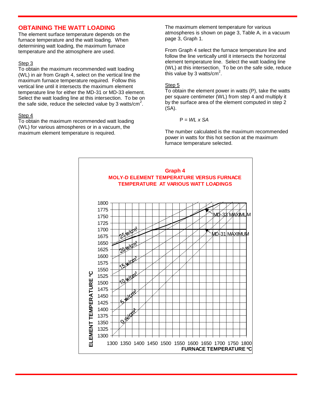### **OBTAINING THE WATT LOADING**

The element surface temperature depends on the furnace temperature and the watt loading. When determining watt loading, the maximum furnace temperature and the atmosphere are used.

#### Step 3

To obtain the maximum recommended watt loading (WL) in air from Graph 4, select on the vertical line the maximum furnace temperature required. Follow this vertical line until it intersects the maximum element temperature line for either the MD-31 or MD-33 element. Select the watt loading line at this intersection. To be on the safe side, reduce the selected value by 3 watts/cm<sup>2</sup>.

#### Step 4

To obtain the maximum recommended watt loading (WL) for various atmospheres or in a vacuum, the maximum element temperature is required.

The maximum element temperature for various atmospheres is shown on page 3, Table A, in a vacuum page 3, Graph 1.

From Graph 4 select the furnace temperature line and follow the line vertically until it intersects the horizontal element temperature line. Select the watt loading line (WL) at this intersection. To be on the safe side, reduce this value by 3 watts/cm<sup>2</sup>.

#### Step 5

To obtain the element power in watts (P), take the watts per square centimeter (WL) from step 4 and multiply it by the surface area of the element computed in step 2 (SA).

$$
P = WL \times SA
$$

The number calculated is the maximum recommended power in watts for this hot section at the maximum furnace temperature selected.

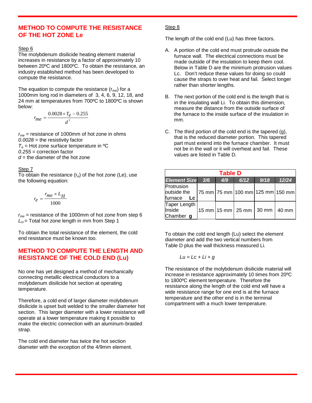### **METHOD TO COMPUTE THE RESISTANCE OF THE HOT ZONE Le**

#### Step 6

The molybdenum disilicide heating element material increases in resistance by a factor of approximately 10 between 20ºC and 1800ºC. To obtain the resistance, an industry established method has been developed to compute the resistance.

The equation to compute the resistance  $(r_{me})$  for a 1000mm long rod in diameters of 3, 4, 6, 9, 12, 18, and 24 mm at temperatures from 700ºC to 1800ºC is shown below:

$$
r_{me} = \frac{0.0028 \times T_e - 0.255}{d^2}
$$

*rme* = resistance of 1000mm of hot zone in ohms *0.0028* = the resistivity factor  $T_e$  = Hot zone surface temperature in <sup>o</sup>C *0.255* = correction factor  $d =$  the diameter of the hot zone

#### Step 7

To obtain the resistance  $(r_e)$  of the hot zone (Le), use the following equation:

$$
r_e = \frac{r_{me} \times L_H}{1000}
$$

*rme* = resistance of the 1000mm of hot zone from step 6  $L_H$  = Total hot zone length in mm from Step 1

To obtain the total resistance of the element, the cold end resistance must be known too.

## **METHOD TO COMPUTE THE LENGTH AND RESISTANCE OF THE COLD END (Lu)**

No one has yet designed a method of mechanically connecting metallic electrical conductors to a molybdenum disilicide hot section at operating temperature.

Therefore, a cold end of larger diameter molybdenum disilicide is upset butt welded to the smaller diameter hot section. This larger diameter with a lower resistance will operate at a lower temperature making it possible to make the electric connection with an aluminum-braided strap.

The cold end diameter has twice the hot section diameter with the exception of the 4/9mm element.

#### Step 8

The length of the cold end (Lu) has three factors.

- A. A portion of the cold end must protrude outside the furnace wall. The electrical connections must be made outside of the insulation to keep them cool. Below in Table D are the minimum protrusion values Lc. Don't reduce these values for doing so could cause the straps to over heat and fail. Select longer rather than shorter lengths.
- B. The next portion of the cold end is the length that is in the insulating wall Li. To obtain this dimension, measure the distance from the outside surface of the furnace to the inside surface of the insulation in mm.
- C. The third portion of the cold end is the tapered (g), that is the reduced diameter portion. This tapered part must extend into the furnace chamber. It must not be in the wall or it will overheat and fail. These values are listed in Table D.

| <b>Table D</b>                                 |     |     |                                                     |      |                                  |  |
|------------------------------------------------|-----|-----|-----------------------------------------------------|------|----------------------------------|--|
| <b>Element Size</b>                            | 3/6 | 4/9 | 6/12                                                | 9/18 | 12/24                            |  |
| Protrusion<br>outside the<br>furnace<br>Lc     |     |     |                                                     |      | 75 mm 75 mm 100 mm 125 mm 150 mm |  |
| Taper Length<br>Inside<br>Chamber <sub>g</sub> |     |     | $15 \text{ mm}$ 15 mm $25 \text{ mm}$ 30 mm $\vert$ |      | 40 mm                            |  |

To obtain the cold end length (Lu) select the element diameter and add the two vertical numbers from Table D plus the wall thickness measured Li.

$$
Lu = Lc + Li + g
$$

The resistance of the molybdenum disilicide material will increase in resistance approximately 10 times from 20ºC to 1800ºC element temperature. Therefore the resistance along the length of the cold end will have a wide resistance range for one end is at the furnace temperature and the other end is in the terminal compartment with a much lower temperature.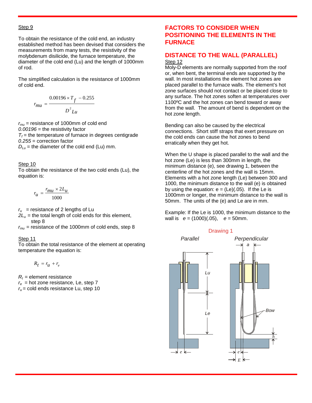#### Step 9

To obtain the resistance of the cold end, an industry established method has been devised that considers the measurements from many tests, the resistivity of the molybdenum disilicide, the furnace temperature, the diameter of the cold end (Lu) and the length of 1000mm of rod.

The simplified calculation is the resistance of 1000mm of cold end.

$$
r_{mu} = \frac{0.00196 \times T_f - 0.255}{D^2 L u}
$$

*rmu* = resistance of 1000mm of cold end *0.00196* = the resistivity factor  $T_f$  = the temperature of furnace in degrees centigrade *0.255* = correction factor

 $D_{\mu}$  = the diameter of the cold end (Lu) mm.

#### Step 10

To obtain the resistance of the two cold ends (Lu), the equation is:

$$
r_{\mathcal{U}} = \frac{r_{\mathcal{U}} \times 2L_{\mathcal{U}}}{1000}
$$

 $r_u$  = resistance of 2 lengths of Lu

 $2L<sub>u</sub>$  = the total length of cold ends for this element, step 8

 $r_{mu}$  = resistance of the 1000mm of cold ends, step 8

#### Step 11

To obtain the total resistance of the element at operating temperature the equation is:

 $R_t = r_u + r_e$ 

 $R_t$  = element resistance  $r_e$  = hot zone resistance, Le, step 7  $r_u$  = cold ends resistance Lu, step 10

## **FACTORS TO CONSIDER WHEN POSITIONING THE ELEMENTS IN THE FURNACE**

## **DISTANCE TO THE WALL (PARALLEL)**

#### Step 12

Moly-D elements are normally supported from the roof or, when bent, the terminal ends are supported by the wall. In most installations the element hot zones are placed parallel to the furnace walls. The element's hot zone surfaces should not contact or be placed close to any surface. The hot zones soften at temperatures over 1100ºC and the hot zones can bend toward or away from the wall. The amount of bend is dependent on the hot zone length.

Bending can also be caused by the electrical connections. Short stiff straps that exert pressure on the cold ends can cause the hot zones to bend erratically when they get hot.

When the U shape is placed parallel to the wall and the hot zone (Le) is less than 300mm in length, the minimum distance (e), see drawing 1, between the centerline of the hot zones and the wall is 15mm. Elements with a hot zone length (Le) between 300 and 1000, the minimum distance to the wall (e) is obtained by using the equation:  $e = (Le)(.05)$ . If the Le is 1000mm or longer, the minimum distance to the wall is 50mm. The units of the (e) and Le are in mm.

Example: If the Le is 1000, the minimum distance to the wall is *e* = (1000)(.05), *e* = 50mm.

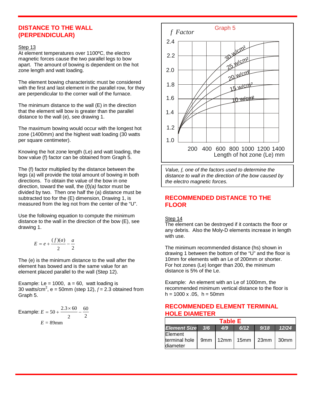## **DISTANCE TO THE WALL (PERPENDICULAR)**

#### Step 13

At element temperatures over 1100ºC, the electro magnetic forces cause the two parallel legs to bow apart. The amount of bowing is dependent on the hot zone length and watt loading.

The element bowing characteristic must be considered with the first and last element in the parallel row, for they are perpendicular to the corner wall of the furnace.

The minimum distance to the wall (E) in the direction that the element will bow is greater than the parallel distance to the wall (e), see drawing 1.

The maximum bowing would occur with the longest hot zone (1400mm) and the highest watt loading (30 watts per square centimeter).

Knowing the hot zone length (Le) and watt loading, the bow value (f) factor can be obtained from Graph 5.

The (f) factor multiplied by the distance between the legs (a) will provide the total amount of bowing in both directions. To obtain the value of the bow in one direction, toward the wall, the (*f)(a)* factor must be divided by two. Then one half the (a) distance must be subtracted too for the (E) dimension, Drawing 1, is measured from the leg not from the center of the "U".

Use the following equation to compute the minimum distance to the wall in the direction of the bow (E), see drawing 1.

$$
E = e + \frac{(f)(a)}{2} - \frac{a}{2}
$$

The (e) is the minimum distance to the wall after the element has bowed and is the same value for an element placed parallel to the wall (Step 12).

Example: Le = 1000,  $a = 60$ , watt loading is 30 watts/cm<sup>2</sup>, e = 50mm (step 12),  $f = 2.3$  obtained from Graph 5.

Example: 
$$
E = 50 + \frac{2.3 \times 60}{2} - \frac{60}{2}
$$
  
 $E = 89$ mm



*Value, f, one of the factors used to determine the distance to wall in the direction of the bow caused by the electro magnetic forces.*

## **RECOMMENDED DISTANCE TO THE FLOOR**

#### Step 14

The element can be destroyed if it contacts the floor or any debris. Also the Moly-D elements increase in length with use.

The minimum recommended distance (hs) shown in drawing 1 between the bottom of the "U" and the floor is 10mm for elements with an Le of 200mm or shorter. For hot zones (Le) longer than 200, the minimum distance is 5% of the Le.

Example: An element with an Le of 1000mm, the recommended minimum vertical distance to the floor is  $h = 1000 \times 0.05$ ,  $h = 50$  mm

## **RECOMMENDED ELEMENT TERMINAL HOLE DIAMETER**

| <b>Table E</b>                       |     |     |                          |      |       |  |
|--------------------------------------|-----|-----|--------------------------|------|-------|--|
| <b>Element Size</b>                  | 3/6 | 4/9 | 6/12                     | 9/18 | 12/24 |  |
| Element<br>terminal hole<br>diameter |     |     | 9mm   12mm   15mm   23mm |      | 30mm  |  |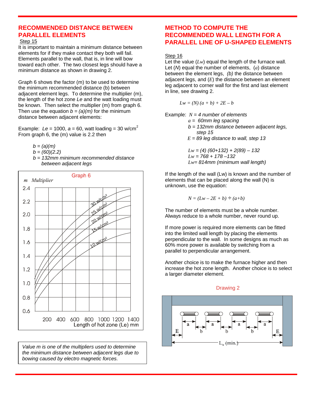## **RECOMMENDED DISTANCE BETWEEN PARALLEL ELEMENTS**

#### Step 15

It is important to maintain a minimum distance between elements for if they make contact they both will fail. Elements parallel to the wall, that is, in line will bow toward each other. The two closest legs should have a minimum distance as shown in drawing 2.

Graph 6 shows the factor (m) to be used to determine the minimum recommended distance (b) between adjacent element legs. To determine the multiplier (m), the length of the hot zone *Le* and the watt loading must be known. Then select the multiplier (m) from graph 6. Then use the equation  $b = (a)(m)$  for the minimum distance between adjacent elements:

Example:  $Le = 1000$ ,  $a = 60$ , watt loading = 30 w/cm<sup>2</sup> From graph 6, the (m) value is 2.2 then

- *b = (a)(m)*
- *b = (60)(2.2)*
- *b = 132mm minimum recommended distance between adjacent legs*



*Value m is one of the multipliers used to determine the minimum distance between adjacent legs due to bowing caused by electro magnetic forces.*

## **METHOD TO COMPUTE THE RECOMMENDED WALL LENGTH FOR A PARALLEL LINE OF U-SHAPED ELEMENTS**

#### Step 16

Let the value (*Lw*) equal the length of the furnace wall. Let (*N*) equal the number of elements, (*a*) distance between the element legs, *(b)* the distance between adjacent legs, and (*E*) the distance between an element leg adjacent to corner wall for the first and last element in line, see drawing 2.

$$
Lw = (N)(a+b) + 2E - b
$$

Example: *N = 4 number of elements*

- *a = 60mm leg spacing*
- *b = 132mm distance between adjacent legs, step 15*
- $E = 89$  *leg distance to wall, step 13*

 *Lw = (4) (60+132) + 2(89) – 132 Lw = 768 + 178 –132 Lw= 814mm (minimum wall length)*

If the length of the wall (Lw) is known and the number of elements that can be placed along the wall (N) is unknown, use the equation:

$$
N = (Lw - 2E + b) \div (a+b)
$$

The number of elements must be a whole number. Always reduce to a whole number, never round up.

If more power is required more elements can be fitted into the limited wall length by placing the elements perpendicular to the wall. In some designs as much as 60% more power is available by switching from a parallel to perpendicular arrangement.

Another choice is to make the furnace higher and then increase the hot zone length. Another choice is to select a larger diameter element.

#### Drawing 2

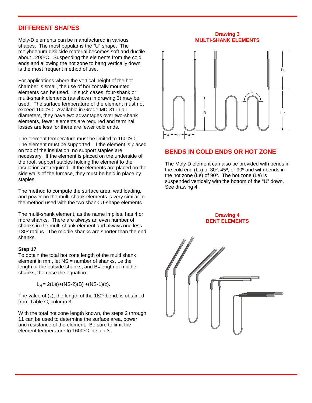## **DIFFERENT SHAPES**

Moly-D elements can be manufactured in various shapes. The most popular is the "U" shape. The molybdenum disilicide material becomes soft and ductile about 1200ºC. Suspending the elements from the cold ends and allowing the hot zone to hang vertically down is the most frequent method of use.

For applications where the vertical height of the hot chamber is small, the use of horizontally mounted elements can be used. In such cases, four-shank or multi-shank elements (as shown in drawing 3) may be used. The surface temperature of the element must not exceed 1600ºC. Available in Grade MD-31 in all diameters, they have two advantages over two-shank elements, fewer elements are required and terminal losses are less for there are fewer cold ends.

The element temperature must be limited to 1600ºC. The element must be supported. If the element is placed on top of the insulation, no support staples are necessary. If the element is placed on the underside of the roof, support staples holding the element to the insulation are required. If the elements are placed on the side walls of the furnace, they must be held in place by staples.

The method to compute the surface area, watt loading, and power on the multi-shank elements is very similar to the method used with the two shank U-shape elements.

The multi-shank element, as the name implies, has 4 or more shanks. There are always an even number of shanks in the multi-shank element and always one less 180º radius. The middle shanks are shorter than the end shanks.

#### **Step 17**

To obtain the total hot zone length of the multi shank element in mm, let NS = number of shanks, Le the length of the outside shanks, and B=length of middle shanks, then use the equation:

 $L_H = 2(Le)+(NS-2)(B) + (NS-1)(z).$ 

The value of (z), the length of the 180º bend, is obtained from Table C, column 3.

With the total hot zone length known, the steps 2 through 11 can be used to determine the surface area, power, and resistance of the element. Be sure to limit the element temperature to 1600ºC in step 3.

**Drawing 3 MULTI-SHANK ELEMENTS**



## **BENDS IN COLD ENDS OR HOT ZONE**

The Moly-D element can also be provided with bends in the cold end (Lu) of 30º, 45º, or 90º and with bends in the hot zone (Le) of 90º. The hot zone (Le) is suspended vertically with the bottom of the "U" down. See drawing 4.

> **Drawing 4 BENT ELEMENTS**

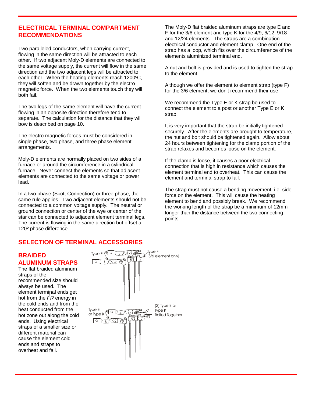## **ELECTRICAL TERMINAL COMPARTMENT RECOMMENDATIONS**

Two paralleled conductors, when carrying current, flowing in the same direction will be attracted to each other. If two adjacent Moly-D elements are connected to the same voltage supply, the current will flow in the same direction and the two adjacent legs will be attracted to each other. When the heating elements reach 1200ºC, they will soften and be drawn together by the electro magnetic force. When the two elements touch they will both fail.

The two legs of the same element will have the current flowing in an opposite direction therefore tend to separate. The calculation for the distance that they will bow is described on page 10.

The electro magnetic forces must be considered in single phase, two phase, and three phase element arrangements.

Moly-D elements are normally placed on two sides of a furnace or around the circumference in a cylindrical furnace. Never connect the elements so that adjacent elements are connected to the same voltage or power lead.

In a two phase (Scott Connection) or three phase, the same rule applies. Two adjacent elements should not be connected to a common voltage supply. The neutral or ground connection or center of the wye or center of the star can be connected to adjacent element terminal legs. The current is flowing in the same direction but offset a 120º phase difference.

The Moly-D flat braided aluminum straps are type E and F for the 3/6 element and type K for the 4/9, 6/12, 9/18 and 12/24 elements. The straps are a combination electrical conductor and element clamp. One end of the strap has a loop, which fits over the circumference of the elements aluminized terminal end.

A nut and bolt is provided and is used to tighten the strap to the element.

Although we offer the element to element strap (type F) for the 3/6 element, we don't recommend their use.

We recommend the Type E or K strap be used to connect the element to a post or another Type E or K strap.

It is very important that the strap be initially tightened securely. After the elements are brought to temperature, the nut and bolt should be tightened again. Allow about 24 hours between tightening for the clamp portion of the strap relaxes and becomes loose on the element.

If the clamp is loose, it causes a poor electrical connection that is high in resistance which causes the element terminal end to overheat. This can cause the element and terminal strap to fail.

The strap must not cause a bending movement, i.e. side force on the element. This will cause the heating element to bend and possibly break. We recommend the working length of the strap be a minimum of 12mm longer than the distance between the two connecting points.

## **SELECTION OF TERMINAL ACCESSORIES**

### **BRAIDED ALUMINUM STRAPS**

The flat braided aluminum straps of the recommended size should always be used. The element terminal ends get hot from the  $\hat{f}R$  energy in the cold ends and from the heat conducted from the hot zone out along the cold ends. Using electrical straps of a smaller size or different material can cause the element cold ends and straps to overheat and fail.